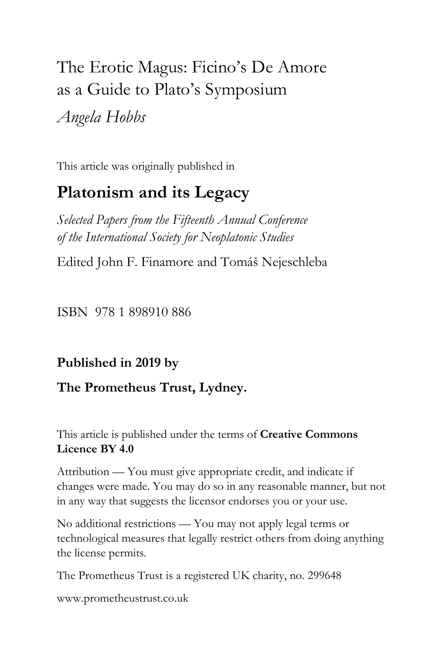# The Erotic Magus: Ficino's De Amore as a Guide to Plato's Symposium *Angela Hobbs*

This article was originally published in

## **Platonism and its Legacy**

*Selected Papers from the Fifteenth Annual Conference of the International Society for Neoplatonic Studies*

Edited John F. Finamore and Tomáš Nejeschleba

ISBN 978 1 898910 886

### **Published in 2019 by**

### **The Prometheus Trust, Lydney.**

This article is published under the terms of **Creative Commons Licence BY 4.0**

Attribution — You must give appropriate credit, and indicate if changes were made. You may do so in any reasonable manner, but not in any way that suggests the licensor endorses you or your use.

No additional restrictions — You may not apply legal terms or technological measures that legally restrict others from doing anything the license permits.

The Prometheus Trust is a registered UK charity, no. 299648

[www.prometheustrust.co.uk](http://www.prometheustrust.co.uk/)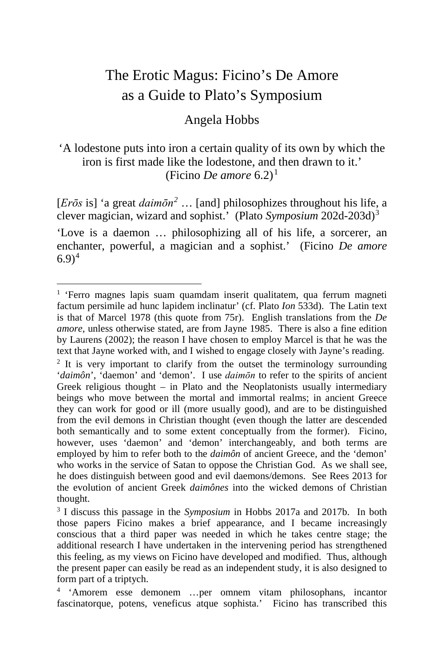### The Erotic Magus: Ficino's De Amore as a Guide to Plato's Symposium

### Angela Hobbs

#### 'A lodestone puts into iron a certain quality of its own by which the iron is first made like the lodestone, and then drawn to it.' (Ficino *De amore*  $6.2$ )<sup>[1](#page-1-0)</sup>

[*Erōs* is] 'a great *daimōn[2](#page-1-1)* … [and] philosophizes throughout his life, a clever magician, wizard and sophist.' (Plato *Symposium* 202d-203d)[3](#page-1-2) 'Love is a daemon … philosophizing all of his life, a sorcerer, an enchanter, powerful, a magician and a sophist.' (Ficino *De amore*  $(6.9)^4$  $(6.9)^4$ 

<span id="page-1-0"></span><sup>&</sup>lt;sup>1</sup> 'Ferro magnes lapis suam quamdam inserit qualitatem, qua ferrum magneti factum persimile ad hunc lapidem inclinatur' (cf. Plato *Ion* 533d). The Latin text is that of Marcel 1978 (this quote from 75r). English translations from the *De amore*, unless otherwise stated, are from Jayne 1985. There is also a fine edition by Laurens (2002); the reason I have chosen to employ Marcel is that he was the text that Jayne worked with, and I wished to engage closely with Jayne's reading.  $2$  It is very important to clarify from the outset the terminology surrounding

<span id="page-1-1"></span><sup>&#</sup>x27;*daimôn*', 'daemon' and 'demon'. I use *daimōn* to refer to the spirits of ancient Greek religious thought  $-$  in Plato and the Neoplatonists usually intermediary beings who move between the mortal and immortal realms; in ancient Greece they can work for good or ill (more usually good), and are to be distinguished from the evil demons in Christian thought (even though the latter are descended both semantically and to some extent conceptually from the former). Ficino, however, uses 'daemon' and 'demon' interchangeably, and both terms are employed by him to refer both to the *daimôn* of ancient Greece, and the 'demon' who works in the service of Satan to oppose the Christian God. As we shall see, he does distinguish between good and evil daemons/demons. See Rees 2013 for the evolution of ancient Greek *daimônes* into the wicked demons of Christian thought.

<span id="page-1-2"></span><sup>3</sup> I discuss this passage in the *Symposium* in Hobbs 2017a and 2017b. In both those papers Ficino makes a brief appearance, and I became increasingly conscious that a third paper was needed in which he takes centre stage; the additional research I have undertaken in the intervening period has strengthened this feeling, as my views on Ficino have developed and modified. Thus, although the present paper can easily be read as an independent study, it is also designed to form part of a triptych.

<span id="page-1-3"></span><sup>4</sup> 'Amorem esse demonem …per omnem vitam philosophans, incantor fascinatorque, potens, veneficus atque sophista.' Ficino has transcribed this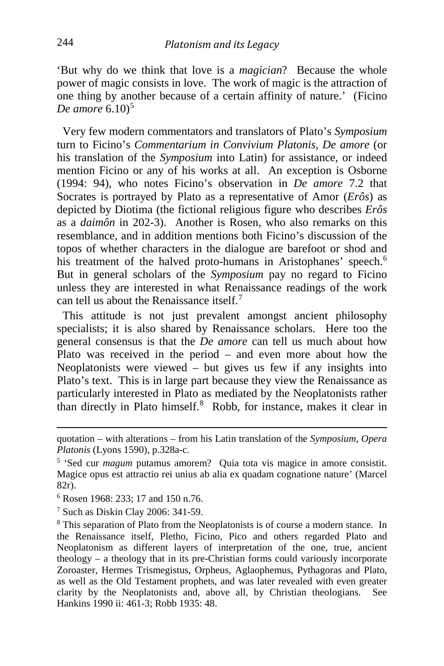'But why do we think that love is a *magician*? Because the whole power of magic consists in love. The work of magic is the attraction of one thing by another because of a certain affinity of nature.' (Ficino *De amore* 6.10<sup>[5](#page-2-0)</sup>

 Very few modern commentators and translators of Plato's *Symposium* turn to Ficino's *Commentarium in Convivium Platonis, De amore* (or his translation of the *Symposium* into Latin) for assistance, or indeed mention Ficino or any of his works at all. An exception is Osborne (1994: 94), who notes Ficino's observation in *De amore* 7.2 that Socrates is portrayed by Plato as a representative of Amor (*Erôs*) as depicted by Diotima (the fictional religious figure who describes *Erôs* as a *daimôn* in 202-3). Another is Rosen, who also remarks on this resemblance, and in addition mentions both Ficino's discussion of the topos of whether characters in the dialogue are barefoot or shod and his treatment of the halved proto-humans in Aristophanes' speech.<sup>[6](#page-2-1)</sup> But in general scholars of the *Symposium* pay no regard to Ficino unless they are interested in what Renaissance readings of the work can tell us about the Renaissance itself  $<sup>7</sup>$  $<sup>7</sup>$  $<sup>7</sup>$ </sup>

 This attitude is not just prevalent amongst ancient philosophy specialists; it is also shared by Renaissance scholars. Here too the general consensus is that the *De amore* can tell us much about how Plato was received in the period – and even more about how the Neoplatonists were viewed – but gives us few if any insights into Plato's text. This is in large part because they view the Renaissance as particularly interested in Plato as mediated by the Neoplatonists rather than directly in Plato himself.<sup>[8](#page-2-3)</sup> Robb, for instance, makes it clear in

<span id="page-2-1"></span><sup>6</sup> Rosen 1968: 233; 17 and 150 n.76.

<span id="page-2-2"></span> $7$  Such as Diskin Clay 2006: 341-59.

quotation – with alterations – from his Latin translation of the *Symposium*, *Opera Platonis* (Lyons 1590), p.328a-c.

<span id="page-2-0"></span><sup>5</sup> 'Sed cur *magum* putamus amorem? Quia tota vis magice in amore consistit. Magice opus est attractio rei unius ab alia ex quadam cognatione nature' (Marcel 82r).

<span id="page-2-3"></span><sup>&</sup>lt;sup>8</sup> This separation of Plato from the Neoplatonists is of course a modern stance. In the Renaissance itself, Pletho, Ficino, Pico and others regarded Plato and Neoplatonism as different layers of interpretation of the one, true, ancient theology – a theology that in its pre-Christian forms could variously incorporate Zoroaster, Hermes Trismegistus, Orpheus, Aglaophemus, Pythagoras and Plato, as well as the Old Testament prophets, and was later revealed with even greater clarity by the Neoplatonists and, above all, by Christian theologians. See Hankins 1990 ii: 461-3; Robb 1935: 48.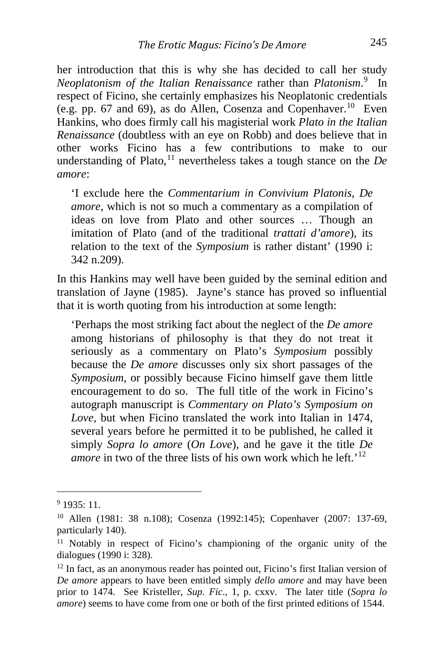her introduction that this is why she has decided to call her study *Neoplatonism of the Italian Renaissance* rather than *Platonism*. [9](#page-3-0) In respect of Ficino, she certainly emphasizes his Neoplatonic credentials (e.g. pp. 67 and 69), as do Allen, Cosenza and Copenhaver.<sup>[10](#page-3-1)</sup> Even Hankins, who does firmly call his magisterial work *Plato in the Italian Renaissance* (doubtless with an eye on Robb) and does believe that in other works Ficino has a few contributions to make to our understanding of Plato,<sup>[11](#page-3-2)</sup> nevertheless takes a tough stance on the  $De$ *amore*:

'I exclude here the *Commentarium in Convivium Platonis, De amore*, which is not so much a commentary as a compilation of ideas on love from Plato and other sources … Though an imitation of Plato (and of the traditional *trattati d'amore*), its relation to the text of the *Symposium* is rather distant' (1990 i: 342 n.209).

In this Hankins may well have been guided by the seminal edition and translation of Jayne (1985). Jayne's stance has proved so influential that it is worth quoting from his introduction at some length:

'Perhaps the most striking fact about the neglect of the *De amore* among historians of philosophy is that they do not treat it seriously as a commentary on Plato's *Symposium* possibly because the *De amore* discusses only six short passages of the *Symposium*, or possibly because Ficino himself gave them little encouragement to do so. The full title of the work in Ficino's autograph manuscript is *Commentary on Plato's Symposium on Love*, but when Ficino translated the work into Italian in 1474, several years before he permitted it to be published, he called it simply *Sopra lo amore* (*On Love*), and he gave it the title *De amore* in two of the three lists of his own work which he left.<sup>'[12](#page-3-3)</sup>

<span id="page-3-0"></span> $91935 \cdot 11$ 

<span id="page-3-1"></span><sup>10</sup> Allen (1981: 38 n.108); Cosenza (1992:145); Copenhaver (2007: 137-69, particularly 140).

<span id="page-3-2"></span><sup>&</sup>lt;sup>11</sup> Notably in respect of Ficino's championing of the organic unity of the dialogues (1990 i: 328).

<span id="page-3-3"></span><sup>12</sup> In fact, as an anonymous reader has pointed out, Ficino's first Italian version of *De amore* appears to have been entitled simply *dello amore* and may have been prior to 1474. See Kristeller, *Sup. Fic*., 1, p. cxxv. The later title (*Sopra lo amore*) seems to have come from one or both of the first printed editions of 1544.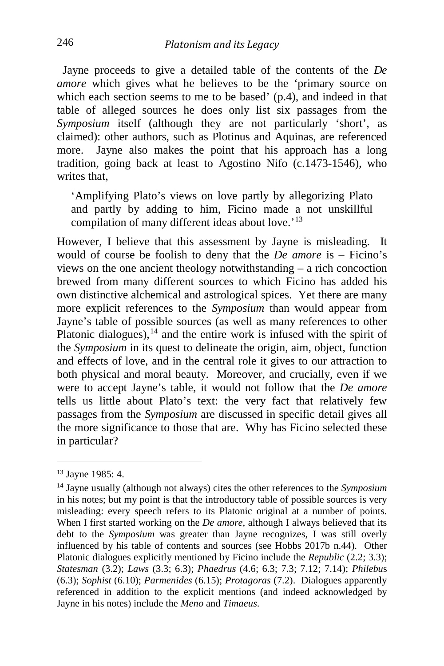Jayne proceeds to give a detailed table of the contents of the *De amore* which gives what he believes to be the 'primary source on which each section seems to me to be based' (p.4), and indeed in that table of alleged sources he does only list six passages from the *Symposium* itself (although they are not particularly 'short', as claimed): other authors, such as Plotinus and Aquinas, are referenced more. Jayne also makes the point that his approach has a long tradition, going back at least to Agostino Nifo (c.1473-1546), who writes that,

'Amplifying Plato's views on love partly by allegorizing Plato and partly by adding to him, Ficino made a not unskillful compilation of many different ideas about love.<sup>'[13](#page-4-0)</sup>

However, I believe that this assessment by Jayne is misleading. It would of course be foolish to deny that the *De amore* is – Ficino's views on the one ancient theology notwithstanding – a rich concoction brewed from many different sources to which Ficino has added his own distinctive alchemical and astrological spices. Yet there are many more explicit references to the *Symposium* than would appear from Jayne's table of possible sources (as well as many references to other Platonic dialogues), $14$  and the entire work is infused with the spirit of the *Symposium* in its quest to delineate the origin, aim, object, function and effects of love, and in the central role it gives to our attraction to both physical and moral beauty. Moreover, and crucially, even if we were to accept Jayne's table, it would not follow that the *De amore* tells us little about Plato's text: the very fact that relatively few passages from the *Symposium* are discussed in specific detail gives all the more significance to those that are. Why has Ficino selected these in particular?

i,

<span id="page-4-0"></span><sup>13</sup> Jayne 1985: 4.

<span id="page-4-1"></span><sup>14</sup> Jayne usually (although not always) cites the other references to the *Symposium* in his notes; but my point is that the introductory table of possible sources is very misleading: every speech refers to its Platonic original at a number of points. When I first started working on the *De amore*, although I always believed that its debt to the *Symposium* was greater than Jayne recognizes, I was still overly influenced by his table of contents and sources (see Hobbs 2017b n.44). Other Platonic dialogues explicitly mentioned by Ficino include the *Republic* (2.2; 3.3); *Statesman* (3.2); *Laws* (3.3; 6.3); *Phaedrus* (4.6; 6.3; 7.3; 7.12; 7.14); *Philebu*s (6.3); *Sophist* (6.10); *Parmenides* (6.15); *Protagoras* (7.2). Dialogues apparently referenced in addition to the explicit mentions (and indeed acknowledged by Jayne in his notes) include the *Meno* and *Timaeus*.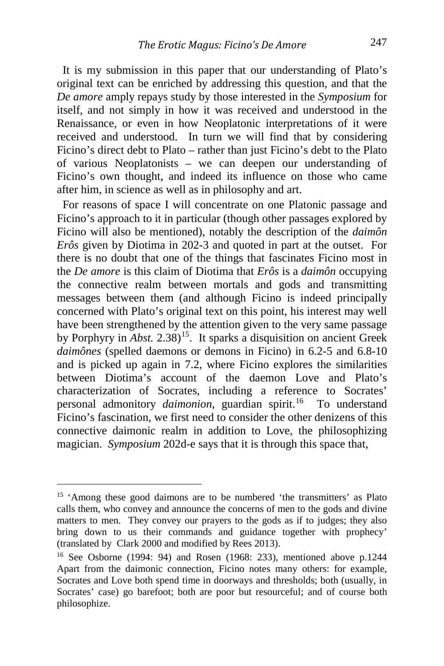It is my submission in this paper that our understanding of Plato's original text can be enriched by addressing this question, and that the *De amore* amply repays study by those interested in the *Symposium* for itself, and not simply in how it was received and understood in the Renaissance, or even in how Neoplatonic interpretations of it were received and understood. In turn we will find that by considering Ficino's direct debt to Plato – rather than just Ficino's debt to the Plato of various Neoplatonists – we can deepen our understanding of Ficino's own thought, and indeed its influence on those who came after him, in science as well as in philosophy and art.

 For reasons of space I will concentrate on one Platonic passage and Ficino's approach to it in particular (though other passages explored by Ficino will also be mentioned), notably the description of the *daimôn Erôs* given by Diotima in 202-3 and quoted in part at the outset. For there is no doubt that one of the things that fascinates Ficino most in the *De amore* is this claim of Diotima that *Erôs* is a *daimôn* occupying the connective realm between mortals and gods and transmitting messages between them (and although Ficino is indeed principally concerned with Plato's original text on this point, his interest may well have been strengthened by the attention given to the very same passage by Porphyry in *Abst.* 2.38)<sup>15</sup>. It sparks a disquisition on ancient Greek *daimônes* (spelled daemons or demons in Ficino) in 6.2-5 and 6.8-10 and is picked up again in 7.2, where Ficino explores the similarities between Diotima's account of the daemon Love and Plato's characterization of Socrates, including a reference to Socrates' personal admonitory *daimonion*, guardian spirit.<sup>[16](#page-5-1)</sup> To understand Ficino's fascination, we first need to consider the other denizens of this connective daimonic realm in addition to Love, the philosophizing magician. *Symposium* 202d-e says that it is through this space that,

<span id="page-5-0"></span><sup>&</sup>lt;sup>15</sup> 'Among these good daimons are to be numbered 'the transmitters' as Plato calls them, who convey and announce the concerns of men to the gods and divine matters to men. They convey our prayers to the gods as if to judges; they also bring down to us their commands and guidance together with prophecy' (translated by Clark 2000 and modified by Rees 2013).

<span id="page-5-1"></span><sup>16</sup> See Osborne (1994: 94) and Rosen (1968: 233), mentioned above p.1244 Apart from the daimonic connection, Ficino notes many others: for example, Socrates and Love both spend time in doorways and thresholds; both (usually, in Socrates' case) go barefoot; both are poor but resourceful; and of course both philosophize.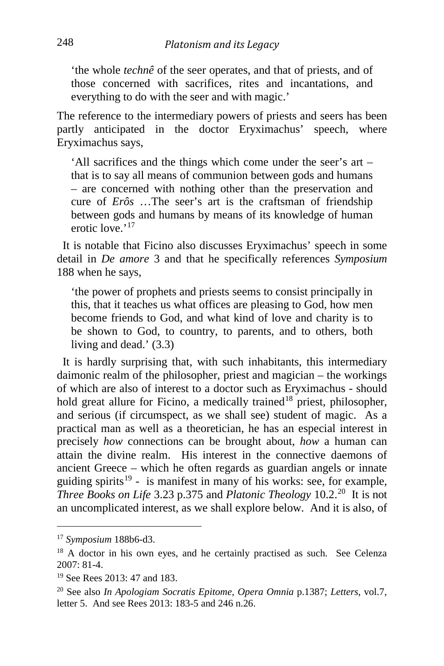'the whole *technê* of the seer operates, and that of priests, and of those concerned with sacrifices, rites and incantations, and everything to do with the seer and with magic.'

The reference to the intermediary powers of priests and seers has been partly anticipated in the doctor Eryximachus' speech, where Eryximachus says,

'All sacrifices and the things which come under the seer's art – that is to say all means of communion between gods and humans – are concerned with nothing other than the preservation and cure of *Erôs* …The seer's art is the craftsman of friendship between gods and humans by means of its knowledge of human erotic love.'<sup>[17](#page-6-0)</sup>

 It is notable that Ficino also discusses Eryximachus' speech in some detail in *De amore* 3 and that he specifically references *Symposium* 188 when he says,

'the power of prophets and priests seems to consist principally in this, that it teaches us what offices are pleasing to God, how men become friends to God, and what kind of love and charity is to be shown to God, to country, to parents, and to others, both living and dead.' (3.3)

 It is hardly surprising that, with such inhabitants, this intermediary daimonic realm of the philosopher, priest and magician – the workings of which are also of interest to a doctor such as Eryximachus - should hold great allure for Ficino, a medically trained<sup>[18](#page-6-1)</sup> priest, philosopher, and serious (if circumspect, as we shall see) student of magic. As a practical man as well as a theoretician, he has an especial interest in precisely *how* connections can be brought about, *how* a human can attain the divine realm. His interest in the connective daemons of ancient Greece – which he often regards as guardian angels or innate guiding spirits<sup>[19](#page-6-2)</sup> - is manifest in many of his works: see, for example, *Three Books on Life* 3.23 p.375 and *Platonic Theology* 10.2.<sup>[20](#page-6-3)</sup> It is not an uncomplicated interest, as we shall explore below. And it is also, of

<span id="page-6-0"></span><sup>17</sup> *Symposium* 188b6-d3.

<span id="page-6-1"></span><sup>&</sup>lt;sup>18</sup> A doctor in his own eyes, and he certainly practised as such. See Celenza 2007: 81-4.

<span id="page-6-2"></span><sup>19</sup> See Rees 2013: 47 and 183.

<span id="page-6-3"></span><sup>20</sup> See also *In Apologiam Socratis Epitome*, *Opera Omnia* p.1387; *Letters*, vol.7, letter 5. And see Rees 2013: 183-5 and 246 n.26.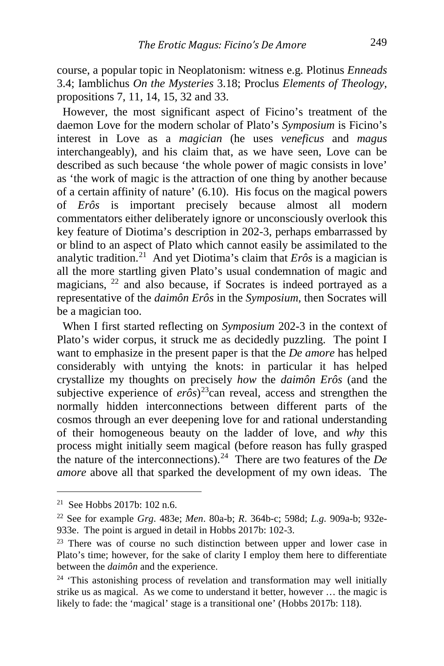course, a popular topic in Neoplatonism: witness e.g. Plotinus *Enneads* 3.4; Iamblichus *On the Mysteries* 3.18; Proclus *Elements of Theology*, propositions 7, 11, 14, 15, 32 and 33.

 However, the most significant aspect of Ficino's treatment of the daemon Love for the modern scholar of Plato's *Symposium* is Ficino's interest in Love as a *magician* (he uses *veneficus* and *magus* interchangeably), and his claim that, as we have seen, Love can be described as such because 'the whole power of magic consists in love' as 'the work of magic is the attraction of one thing by another because of a certain affinity of nature' (6.10). His focus on the magical powers of *Erôs* is important precisely because almost all modern commentators either deliberately ignore or unconsciously overlook this key feature of Diotima's description in 202-3, perhaps embarrassed by or blind to an aspect of Plato which cannot easily be assimilated to the analytic tradition.<sup>[21](#page-7-0)</sup> And yet Diotima's claim that  $Er\hat{o}s$  is a magician is all the more startling given Plato's usual condemnation of magic and magicians, <sup>[22](#page-7-1)</sup> and also because, if Socrates is indeed portrayed as a representative of the *daimôn Erôs* in the *Symposium*, then Socrates will be a magician too.

 When I first started reflecting on *Symposium* 202-3 in the context of Plato's wider corpus, it struck me as decidedly puzzling. The point I want to emphasize in the present paper is that the *De amore* has helped considerably with untying the knots: in particular it has helped crystallize my thoughts on precisely *how* the *daimôn Erôs* (and the subjective experience of  $er\hat{\sigma} s$ <sup>[23](#page-7-2)</sup>can reveal, access and strengthen the normally hidden interconnections between different parts of the cosmos through an ever deepening love for and rational understanding of their homogeneous beauty on the ladder of love, and *why* this process might initially seem magical (before reason has fully grasped the nature of the interconnections).<sup>[24](#page-7-3)</sup> There are two features of the  $De$ *amore* above all that sparked the development of my own ideas. The

<span id="page-7-0"></span> $21$  See Hobbs 2017b: 102 n.6.

<span id="page-7-1"></span><sup>22</sup> See for example *Grg*. 483e; *Men*. 80a-b; *R*. 364b-c; 598d; *L.g.* 909a-b; 932e-933e. The point is argued in detail in Hobbs 2017b: 102-3.

<span id="page-7-2"></span><sup>&</sup>lt;sup>23</sup> There was of course no such distinction between upper and lower case in Plato's time; however, for the sake of clarity I employ them here to differentiate between the *daimôn* and the experience.

<span id="page-7-3"></span> $24$  'This astonishing process of revelation and transformation may well initially strike us as magical. As we come to understand it better, however … the magic is likely to fade: the 'magical' stage is a transitional one' (Hobbs 2017b: 118).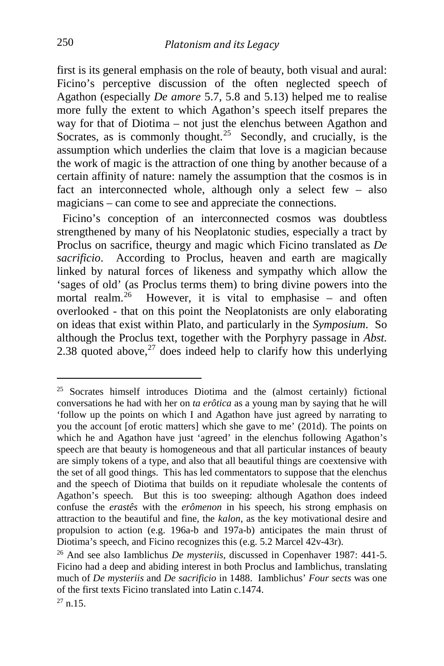first is its general emphasis on the role of beauty, both visual and aural: Ficino's perceptive discussion of the often neglected speech of Agathon (especially *De amore* 5.7, 5.8 and 5.13) helped me to realise more fully the extent to which Agathon's speech itself prepares the way for that of Diotima – not just the elenchus between Agathon and Socrates, as is commonly thought.<sup>[25](#page-8-0)</sup> Secondly, and crucially, is the assumption which underlies the claim that love is a magician because the work of magic is the attraction of one thing by another because of a certain affinity of nature: namely the assumption that the cosmos is in fact an interconnected whole, although only a select few – also magicians – can come to see and appreciate the connections.

 Ficino's conception of an interconnected cosmos was doubtless strengthened by many of his Neoplatonic studies, especially a tract by Proclus on sacrifice, theurgy and magic which Ficino translated as *De sacrificio*. According to Proclus, heaven and earth are magically linked by natural forces of likeness and sympathy which allow the 'sages of old' (as Proclus terms them) to bring divine powers into the mortal realm.<sup>[26](#page-8-1)</sup> However, it is vital to emphasise – and often overlooked - that on this point the Neoplatonists are only elaborating on ideas that exist within Plato, and particularly in the *Symposium*. So although the Proclus text, together with the Porphyry passage in *Abst.* 2.38 quoted above,  $27$  does indeed help to clarify how this underlying

<span id="page-8-0"></span> $25$  Socrates himself introduces Diotima and the (almost certainly) fictional conversations he had with her on *ta erôtica* as a young man by saying that he will 'follow up the points on which I and Agathon have just agreed by narrating to you the account [of erotic matters] which she gave to me' (201d). The points on which he and Agathon have just 'agreed' in the elenchus following Agathon's speech are that beauty is homogeneous and that all particular instances of beauty are simply tokens of a type, and also that all beautiful things are coextensive with the set of all good things. This has led commentators to suppose that the elenchus and the speech of Diotima that builds on it repudiate wholesale the contents of Agathon's speech. But this is too sweeping: although Agathon does indeed confuse the *erastês* with the *erômenon* in his speech, his strong emphasis on attraction to the beautiful and fine, the *kalon*, as the key motivational desire and propulsion to action (e.g. 196a-b and 197a-b) anticipates the main thrust of Diotima's speech, and Ficino recognizes this (e.g. 5.2 Marcel 42v-43r).

<span id="page-8-2"></span><span id="page-8-1"></span><sup>26</sup> And see also Iamblichus *De mysteriis*, discussed in Copenhaver 1987: 441-5. Ficino had a deep and abiding interest in both Proclus and Iamblichus, translating much of *De mysteriis* and *De sacrificio* in 1488. Iamblichus' *Four sects* was one of the first texts Ficino translated into Latin c.1474.  $27$  n.15.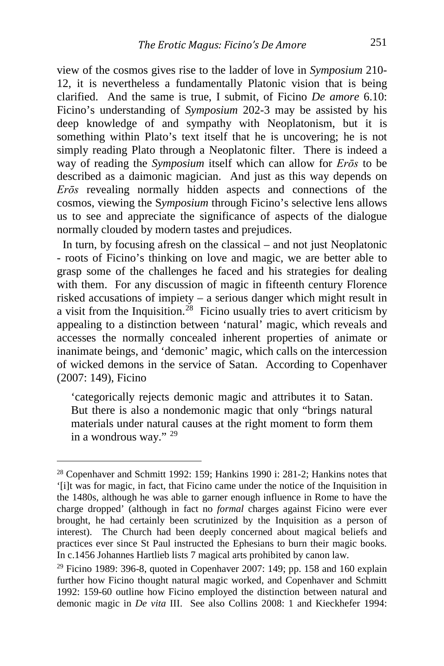view of the cosmos gives rise to the ladder of love in *Symposium* 210- 12, it is nevertheless a fundamentally Platonic vision that is being clarified. And the same is true, I submit, of Ficino *De amore* 6.10: Ficino's understanding of *Symposium* 202-3 may be assisted by his deep knowledge of and sympathy with Neoplatonism, but it is something within Plato's text itself that he is uncovering; he is not simply reading Plato through a Neoplatonic filter. There is indeed a way of reading the *Symposium* itself which can allow for *Erōs* to be described as a daimonic magician. And just as this way depends on *Erōs* revealing normally hidden aspects and connections of the cosmos, viewing the S*ymposium* through Ficino's selective lens allows us to see and appreciate the significance of aspects of the dialogue normally clouded by modern tastes and prejudices.

 In turn, by focusing afresh on the classical – and not just Neoplatonic - roots of Ficino's thinking on love and magic, we are better able to grasp some of the challenges he faced and his strategies for dealing with them. For any discussion of magic in fifteenth century Florence risked accusations of impiety – a serious danger which might result in a visit from the Inquisition.<sup>[28](#page-9-0)</sup> Ficino usually tries to avert criticism by appealing to a distinction between 'natural' magic, which reveals and accesses the normally concealed inherent properties of animate or inanimate beings, and 'demonic' magic, which calls on the intercession of wicked demons in the service of Satan. According to Copenhaver (2007: 149), Ficino

'categorically rejects demonic magic and attributes it to Satan. But there is also a nondemonic magic that only "brings natural materials under natural causes at the right moment to form them in a wondrous way." [29](#page-9-1)

i,

<span id="page-9-0"></span><sup>&</sup>lt;sup>28</sup> Copenhaver and Schmitt 1992: 159; Hankins 1990 i: 281-2; Hankins notes that '[i]t was for magic, in fact, that Ficino came under the notice of the Inquisition in the 1480s, although he was able to garner enough influence in Rome to have the charge dropped' (although in fact no *formal* charges against Ficino were ever brought, he had certainly been scrutinized by the Inquisition as a person of interest). The Church had been deeply concerned about magical beliefs and practices ever since St Paul instructed the Ephesians to burn their magic books. In c.1456 Johannes Hartlieb lists 7 magical arts prohibited by canon law.

<span id="page-9-1"></span><sup>&</sup>lt;sup>29</sup> Ficino 1989: 396-8, quoted in Copenhaver 2007: 149; pp. 158 and 160 explain further how Ficino thought natural magic worked, and Copenhaver and Schmitt 1992: 159-60 outline how Ficino employed the distinction between natural and demonic magic in *De vita* III. See also Collins 2008: 1 and Kieckhefer 1994: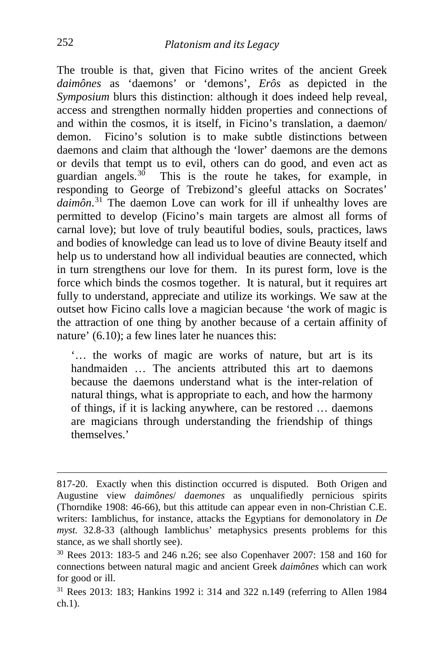The trouble is that, given that Ficino writes of the ancient Greek *daimônes* as 'daemons' or 'demons', *Erôs* as depicted in the *Symposium* blurs this distinction: although it does indeed help reveal, access and strengthen normally hidden properties and connections of and within the cosmos, it is itself, in Ficino's translation, a daemon/ demon. Ficino's solution is to make subtle distinctions between daemons and claim that although the 'lower' daemons are the demons or devils that tempt us to evil, others can do good, and even act as guardian angels.[30](#page-10-0) This is the route he takes, for example, in responding to George of Trebizond's gleeful attacks on Socrates' *daimôn*. [31](#page-10-1) The daemon Love can work for ill if unhealthy loves are permitted to develop (Ficino's main targets are almost all forms of carnal love); but love of truly beautiful bodies, souls, practices, laws and bodies of knowledge can lead us to love of divine Beauty itself and help us to understand how all individual beauties are connected, which in turn strengthens our love for them. In its purest form, love is the force which binds the cosmos together. It is natural, but it requires art fully to understand, appreciate and utilize its workings. We saw at the outset how Ficino calls love a magician because 'the work of magic is the attraction of one thing by another because of a certain affinity of nature' (6.10); a few lines later he nuances this:

'… the works of magic are works of nature, but art is its handmaiden ... The ancients attributed this art to daemons because the daemons understand what is the inter-relation of natural things, what is appropriate to each, and how the harmony of things, if it is lacking anywhere, can be restored … daemons are magicians through understanding the friendship of things themselves.'

817-20. Exactly when this distinction occurred is disputed. Both Origen and Augustine view *daimônes*/ *daemones* as unqualifiedly pernicious spirits (Thorndike 1908: 46-66), but this attitude can appear even in non-Christian C.E. writers: Iamblichus, for instance, attacks the Egyptians for demonolatory in *De myst.* 32.8-33 (although Iamblichus' metaphysics presents problems for this stance, as we shall shortly see).

<span id="page-10-0"></span><sup>30</sup> Rees 2013: 183-5 and 246 n.26; see also Copenhaver 2007: 158 and 160 for connections between natural magic and ancient Greek *daimônes* which can work for good or ill.

<span id="page-10-1"></span><sup>31</sup> Rees 2013: 183; Hankins 1992 i: 314 and 322 n.149 (referring to Allen 1984 ch.1).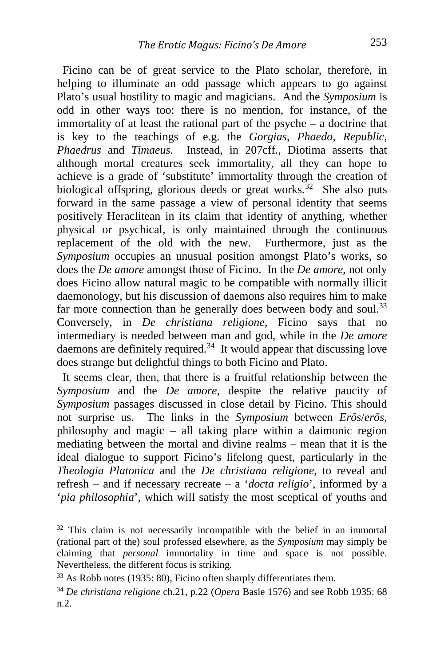Ficino can be of great service to the Plato scholar, therefore, in helping to illuminate an odd passage which appears to go against Plato's usual hostility to magic and magicians. And the *Symposium* is odd in other ways too: there is no mention, for instance, of the immortality of at least the rational part of the psyche – a doctrine that is key to the teachings of e.g. the *Gorgias*, *Phaedo*, *Republic*, *Phaedrus* and *Timaeus*. Instead, in 207cff., Diotima asserts that although mortal creatures seek immortality, all they can hope to achieve is a grade of 'substitute' immortality through the creation of biological offspring, glorious deeds or great works.<sup>32</sup> She also puts forward in the same passage a view of personal identity that seems positively Heraclitean in its claim that identity of anything, whether physical or psychical, is only maintained through the continuous replacement of the old with the new. Furthermore, just as the *Symposium* occupies an unusual position amongst Plato's works, so does the *De amore* amongst those of Ficino. In the *De amore*, not only does Ficino allow natural magic to be compatible with normally illicit daemonology, but his discussion of daemons also requires him to make far more connection than he generally does between body and soul.<sup>[33](#page-11-1)</sup> Conversely, in *De christiana religione*, Ficino says that no intermediary is needed between man and god, while in the *De amore* daemons are definitely required.[34](#page-11-2) It would appear that discussing love does strange but delightful things to both Ficino and Plato.

 It seems clear, then, that there is a fruitful relationship between the *Symposium* and the *De amore*, despite the relative paucity of *Symposium* passages discussed in close detail by Ficino. This should not surprise us. The links in the *Symposium* between *Erôs*/*erôs*, philosophy and magic – all taking place within a daimonic region mediating between the mortal and divine realms – mean that it is the ideal dialogue to support Ficino's lifelong quest, particularly in the *Theologia Platonica* and the *De christiana religione*, to reveal and refresh – and if necessary recreate – a '*docta religio*', informed by a '*pia philosophia*', which will satisfy the most sceptical of youths and

<span id="page-11-0"></span> $32$  This claim is not necessarily incompatible with the belief in an immortal (rational part of the) soul professed elsewhere, as the *Symposium* may simply be claiming that *personal* immortality in time and space is not possible. Nevertheless, the different focus is striking.

<span id="page-11-1"></span><sup>&</sup>lt;sup>33</sup> As Robb notes (1935: 80), Ficino often sharply differentiates them.

<span id="page-11-2"></span><sup>34</sup> *De christiana religione* ch.21, p.22 (*Opera* Basle 1576) and see Robb 1935: 68 n.2.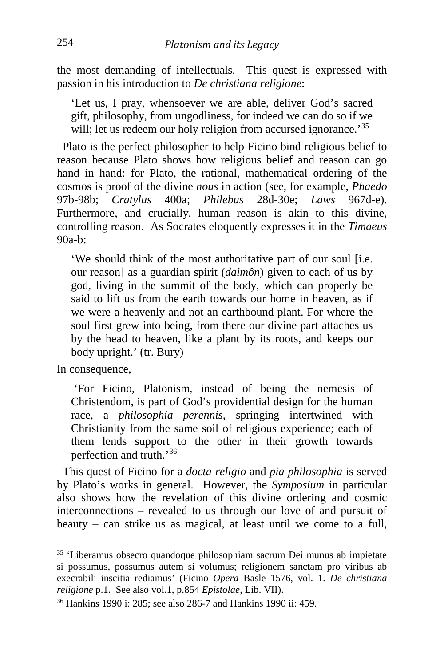the most demanding of intellectuals. This quest is expressed with passion in his introduction to *De christiana religione*:

'Let us, I pray, whensoever we are able, deliver God's sacred gift, philosophy, from ungodliness, for indeed we can do so if we will; let us redeem our holy religion from accursed ignorance.<sup>[35](#page-12-0)</sup>

 Plato is the perfect philosopher to help Ficino bind religious belief to reason because Plato shows how religious belief and reason can go hand in hand: for Plato, the rational, mathematical ordering of the cosmos is proof of the divine *nous* in action (see, for example, *Phaedo* 97b-98b; *Cratylus* 400a; *Philebus* 28d-30e; *Laws* 967d-e). Furthermore, and crucially, human reason is akin to this divine, controlling reason. As Socrates eloquently expresses it in the *Timaeus*   $90a-b$ 

'We should think of the most authoritative part of our soul [i.e. our reason] as a guardian spirit (*daimôn*) given to each of us by god, living in the summit of the body, which can properly be said to lift us from the earth towards our home in heaven, as if we were a heavenly and not an earthbound plant. For where the soul first grew into being, from there our divine part attaches us by the head to heaven, like a plant by its roots, and keeps our body upright.' (tr. Bury)

In consequence,

'For Ficino, Platonism, instead of being the nemesis of Christendom, is part of God's providential design for the human race, a *philosophia perennis*, springing intertwined with Christianity from the same soil of religious experience; each of them lends support to the other in their growth towards perfection and truth.'[36](#page-12-1)

 This quest of Ficino for a *docta religio* and *pia philosophia* is served by Plato's works in general. However, the *Symposium* in particular also shows how the revelation of this divine ordering and cosmic interconnections – revealed to us through our love of and pursuit of beauty – can strike us as magical, at least until we come to a full,

<span id="page-12-0"></span><sup>35</sup> 'Liberamus obsecro quandoque philosophiam sacrum Dei munus ab impietate si possumus, possumus autem si volumus; religionem sanctam pro viribus ab execrabili inscitia rediamus' (Ficino *Opera* Basle 1576, vol. 1. *De christiana religione* p.1. See also vol.1, p.854 *Epistolae*, Lib. VII).

<span id="page-12-1"></span><sup>36</sup> Hankins 1990 i: 285; see also 286-7 and Hankins 1990 ii: 459.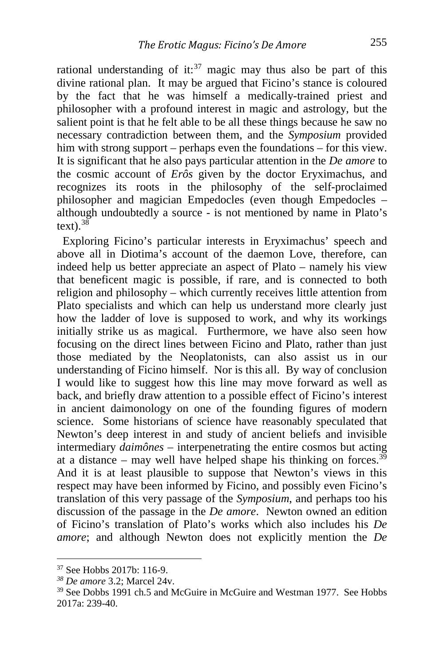rational understanding of it: $37$  magic may thus also be part of this divine rational plan. It may be argued that Ficino's stance is coloured by the fact that he was himself a medically-trained priest and philosopher with a profound interest in magic and astrology, but the salient point is that he felt able to be all these things because he saw no necessary contradiction between them, and the *Symposium* provided him with strong support – perhaps even the foundations – for this view. It is significant that he also pays particular attention in the *De amore* to the cosmic account of *Erôs* given by the doctor Eryximachus, and recognizes its roots in the philosophy of the self-proclaimed philosopher and magician Empedocles (even though Empedocles – although undoubtedly a source - is not mentioned by name in Plato's text)  $38$ 

 Exploring Ficino's particular interests in Eryximachus' speech and above all in Diotima's account of the daemon Love, therefore, can indeed help us better appreciate an aspect of Plato – namely his view that beneficent magic is possible, if rare, and is connected to both religion and philosophy – which currently receives little attention from Plato specialists and which can help us understand more clearly just how the ladder of love is supposed to work, and why its workings initially strike us as magical. Furthermore, we have also seen how focusing on the direct lines between Ficino and Plato, rather than just those mediated by the Neoplatonists, can also assist us in our understanding of Ficino himself. Nor is this all. By way of conclusion I would like to suggest how this line may move forward as well as back, and briefly draw attention to a possible effect of Ficino's interest in ancient daimonology on one of the founding figures of modern science. Some historians of science have reasonably speculated that Newton's deep interest in and study of ancient beliefs and invisible intermediary *daimônes* – interpenetrating the entire cosmos but acting at a distance – may well have helped shape his thinking on forces.<sup>[39](#page-13-2)</sup> And it is at least plausible to suppose that Newton's views in this respect may have been informed by Ficino, and possibly even Ficino's translation of this very passage of the *Symposium*, and perhaps too his discussion of the passage in the *De amore*. Newton owned an edition of Ficino's translation of Plato's works which also includes his *De amore*; and although Newton does not explicitly mention the *De* 

<span id="page-13-0"></span><sup>37</sup> See Hobbs 2017b: 116-9.

<span id="page-13-1"></span>*<sup>38</sup> De amore* 3.2; Marcel 24v.

<span id="page-13-2"></span><sup>39</sup> See Dobbs 1991 ch.5 and McGuire in McGuire and Westman 1977. See Hobbs 2017a: 239-40.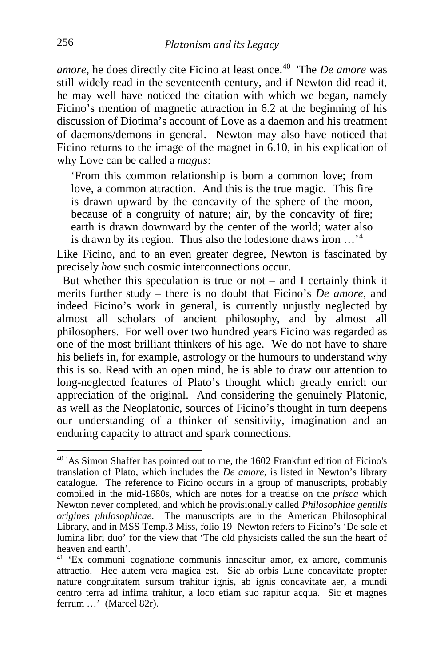*amore*, he does directly cite Ficino at least once.<sup>[40](#page-14-0)</sup> The *De amore* was still widely read in the seventeenth century, and if Newton did read it, he may well have noticed the citation with which we began, namely Ficino's mention of magnetic attraction in 6.2 at the beginning of his discussion of Diotima's account of Love as a daemon and his treatment of daemons/demons in general. Newton may also have noticed that Ficino returns to the image of the magnet in 6.10, in his explication of why Love can be called a *magus*:

'From this common relationship is born a common love; from love, a common attraction. And this is the true magic. This fire is drawn upward by the concavity of the sphere of the moon, because of a congruity of nature; air, by the concavity of fire; earth is drawn downward by the center of the world; water also is drawn by its region. Thus also the lodestone draws iron  $\cdots$ <sup>[41](#page-14-1)</sup>

Like Ficino, and to an even greater degree, Newton is fascinated by precisely *how* such cosmic interconnections occur.

But whether this speculation is true or not  $-$  and I certainly think it merits further study – there is no doubt that Ficino's *De amore*, and indeed Ficino's work in general, is currently unjustly neglected by almost all scholars of ancient philosophy, and by almost all philosophers. For well over two hundred years Ficino was regarded as one of the most brilliant thinkers of his age. We do not have to share his beliefs in, for example, astrology or the humours to understand why this is so. Read with an open mind, he is able to draw our attention to long-neglected features of Plato's thought which greatly enrich our appreciation of the original. And considering the genuinely Platonic, as well as the Neoplatonic, sources of Ficino's thought in turn deepens our understanding of a thinker of sensitivity, imagination and an enduring capacity to attract and spark connections.

<span id="page-14-0"></span><sup>40</sup> 'As Simon Shaffer has pointed out to me, the 1602 Frankfurt edition of Ficino's translation of Plato, which includes the *De amore*, is listed in Newton's library catalogue. The reference to Ficino occurs in a group of manuscripts, probably compiled in the mid-1680s, which are notes for a treatise on the *prisca* which Newton never completed, and which he provisionally called *Philosophiae gentilis origines philosophicae*. The manuscripts are in the American Philosophical Library, and in MSS Temp.3 Miss, folio 19 Newton refers to Ficino's 'De sole et lumina libri duo' for the view that 'The old physicists called the sun the heart of heaven and earth'.

<span id="page-14-1"></span><sup>41</sup> 'Ex communi cognatione communis innascitur amor, ex amore, communis attractio. Hec autem vera magica est. Sic ab orbis Lune concavitate propter nature congruitatem sursum trahitur ignis, ab ignis concavitate aer, a mundi centro terra ad infima trahitur, a loco etiam suo rapitur acqua. Sic et magnes ferrum …' (Marcel 82r).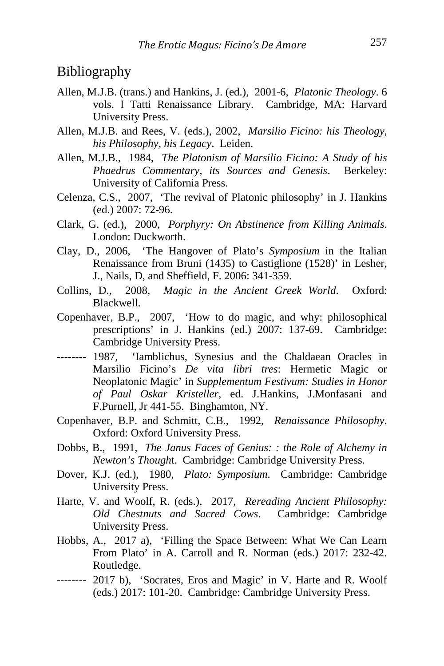### Bibliography

- Allen, M.J.B. (trans.) and Hankins, J. (ed.), 2001-6, *Platonic Theology*. 6 vols. I Tatti Renaissance Library. Cambridge, MA: Harvard University Press.
- Allen, M.J.B. and Rees, V. (eds.), 2002, *Marsilio Ficino: his Theology, his Philosophy, his Legacy*. Leiden.
- Allen, M.J.B., 1984, *The Platonism of Marsilio Ficino: A Study of his Phaedrus Commentary, its Sources and Genesis*. Berkeley: University of California Press.
- Celenza, C.S., 2007, 'The revival of Platonic philosophy' in J. Hankins (ed.) 2007: 72-96.
- Clark, G. (ed.), 2000, *Porphyry: On Abstinence from Killing Animals*. London: Duckworth.
- Clay, D., 2006, 'The Hangover of Plato's *Symposium* in the Italian Renaissance from Bruni (1435) to Castiglione (1528)' in Lesher, J., Nails, D, and Sheffield, F. 2006: 341-359.
- Collins, D., 2008, *Magic in the Ancient Greek World*. Oxford: Blackwell.
- Copenhaver, B.P., 2007, 'How to do magic, and why: philosophical prescriptions' in J. Hankins (ed.) 2007: 137-69. Cambridge: Cambridge University Press.
- -------- 1987, 'Iamblichus, Synesius and the Chaldaean Oracles in Marsilio Ficino's *De vita libri tres*: Hermetic Magic or Neoplatonic Magic' in *Supplementum Festivum: Studies in Honor of Paul Oskar Kristeller*, ed. J.Hankins, J.Monfasani and F.Purnell, Jr 441-55. Binghamton, NY.
- Copenhaver, B.P. and Schmitt, C.B., 1992, *Renaissance Philosophy*. Oxford: Oxford University Press.
- Dobbs, B., 1991, *The Janus Faces of Genius: : the Role of Alchemy in Newton's Though*t. Cambridge: Cambridge University Press.
- Dover, K.J. (ed.), 1980, *Plato: Symposium*. Cambridge: Cambridge University Press.
- Harte, V. and Woolf, R. (eds.), 2017, *Rereading Ancient Philosophy: Old Chestnuts and Sacred Cows*. Cambridge: Cambridge University Press.
- Hobbs, A., 2017 a), 'Filling the Space Between: What We Can Learn From Plato' in A. Carroll and R. Norman (eds.) 2017: 232-42. Routledge.
- -------- 2017 b), 'Socrates, Eros and Magic' in V. Harte and R. Woolf (eds.) 2017: 101-20. Cambridge: Cambridge University Press.